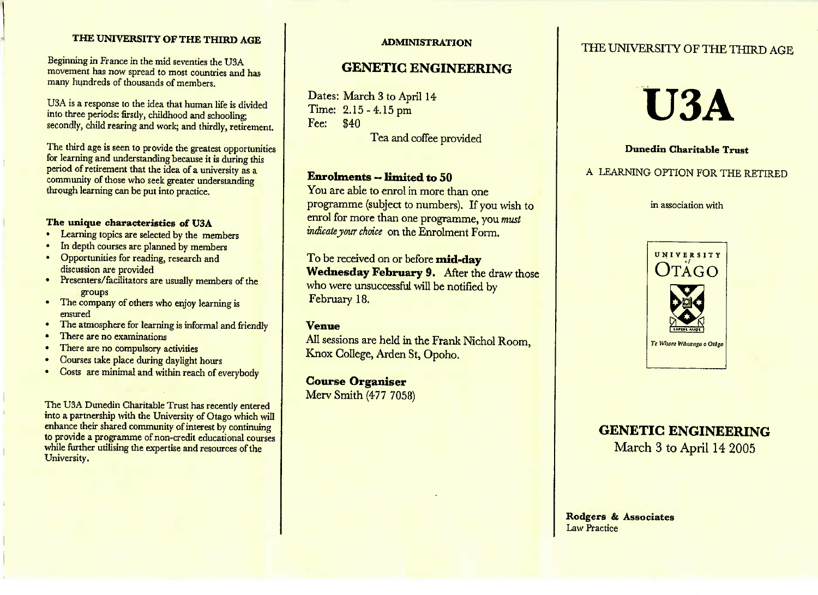#### **THE UNIVERSITY OF THE THIRD AGE**

Beginning in France in the mid seventies the USA movement this now spread to most countries and has many hundreds of thousands of members.

U3A is a response to the idea that human life is divided<br>into three periods: firstly, childhood and schooling: secondly, child rearing and work; and thirdly, retirement.

The third age is seen to provide the greatest opportunities<br>for learning and understanding because it is during this period of retirement that the idea of a university as a period of retirement that the idea of a university as a community of those who seek greater understanding community of those who seek greater understandingthrough learning can be put into practice.

- **The unique characteristics of USA**
- In depth courses are planned by members
- Opportunities for reading, research and discussion are provided
- Presenters/facilitators are usually members of the
- The company of others who enjoy learning is
- The atmosphere for learning is informal and friendly
- 
- **There are no compulsory a**
- **Courses take place during daulight**
- Courses take place during daylight hours Costs are minimal and within reach of everybody

The USA Dunedin Charleston Trust has recently entered into a partnership with the University of Otago which will enhance their shared community of interest by continuing enhance the state of community of interest by community or provide a programme of non-credit educational courses to provide a programme of non-credit educational courses while the theoretic united the expertise and resources of the University.

#### **ADMINISTRATION**

#### **GENETIC ENGINEERING**

Dates: March 3 to April 14Time: 2.15 - 4.15 pm<br>Fee: \$40  $Fee:$ 

Tea and coffee provided

#### **Enrolments** — limited **to 50**

 You are able to enrol in more than one programme (subject to numbers). If you wish toenrol for more than one programme, you *mustindicate jour choice* on the Enrolment Form,

To be received on or before mid-day **Wednesday February 9.** After the draw those who were unsuccessful will be notified by February 18.

#### **Venue**

All sessions are held in the Frank Nichol Room, Knox College, Arden St, Opoho.

**Course Organiser**Merv Smith (477 7058)

#### THE UNIVERSITY OF THE THIRD AGE

# **U3A**

#### **Dunedin Charitable Trust**

#### A LEARNING OPTION FOR THE RETIRED

in association with



## **GENETIC ENGINEERING**

March 3 to April 14 2005

Rodgers **& Associates**Law Practice